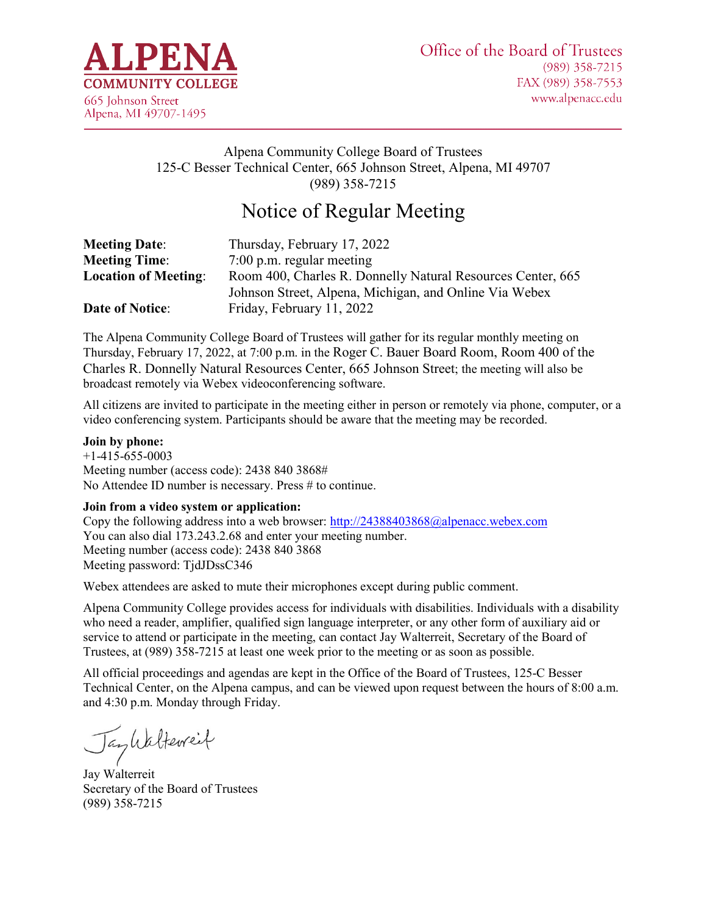

# Alpena Community College Board of Trustees 125-C Besser Technical Center, 665 Johnson Street, Alpena, MI 49707 (989) 358-7215

# Notice of Regular Meeting

| <b>Meeting Date:</b>        | Thursday, February 17, 2022                                 |
|-----------------------------|-------------------------------------------------------------|
| <b>Meeting Time:</b>        | $7:00$ p.m. regular meeting                                 |
| <b>Location of Meeting:</b> | Room 400, Charles R. Donnelly Natural Resources Center, 665 |
|                             | Johnson Street, Alpena, Michigan, and Online Via Webex      |
| <b>Date of Notice:</b>      | Friday, February 11, 2022                                   |

The Alpena Community College Board of Trustees will gather for its regular monthly meeting on Thursday, February 17, 2022, at 7:00 p.m. in the Roger C. Bauer Board Room, Room 400 of the Charles R. Donnelly Natural Resources Center, 665 Johnson Street; the meeting will also be broadcast remotely via Webex videoconferencing software.

All citizens are invited to participate in the meeting either in person or remotely via phone, computer, or a video conferencing system. Participants should be aware that the meeting may be recorded.

#### **Join by phone:**

+1-415-655-0003 Meeting number (access code): 2438 840 3868# No Attendee ID number is necessary. Press # to continue.

#### **Join from a video system or application:**

Copy the following address into a web browser:<http://24388403868@alpenacc.webex.com> You can also dial 173.243.2.68 and enter your meeting number. Meeting number (access code): 2438 840 3868 Meeting password: TjdJDssC346

Webex attendees are asked to mute their microphones except during public comment.

Alpena Community College provides access for individuals with disabilities. Individuals with a disability who need a reader, amplifier, qualified sign language interpreter, or any other form of auxiliary aid or service to attend or participate in the meeting, can contact Jay Walterreit, Secretary of the Board of Trustees, at (989) 358-7215 at least one week prior to the meeting or as soon as possible.

All official proceedings and agendas are kept in the Office of the Board of Trustees, 125-C Besser Technical Center, on the Alpena campus, and can be viewed upon request between the hours of 8:00 a.m. and 4:30 p.m. Monday through Friday.

Jankalterreit

Jay Walterreit Secretary of the Board of Trustees (989) 358-7215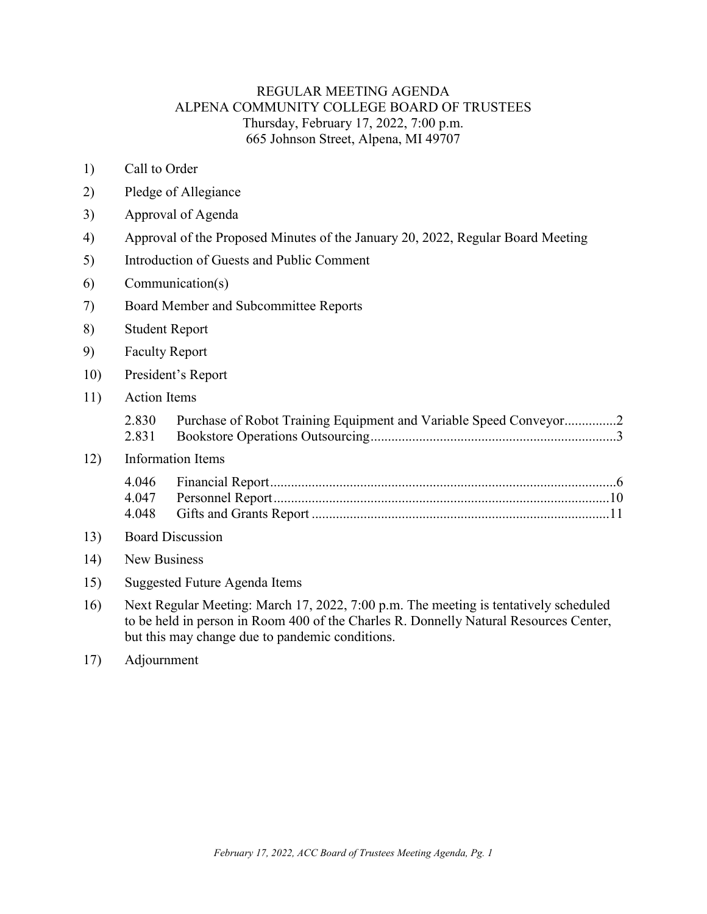## REGULAR MEETING AGENDA ALPENA COMMUNITY COLLEGE BOARD OF TRUSTEES Thursday, February 17, 2022, 7:00 p.m. 665 Johnson Street, Alpena, MI 49707

- 1) Call to Order
- 2) Pledge of Allegiance
- 3) Approval of Agenda
- 4) Approval of the Proposed Minutes of the January 20, 2022, Regular Board Meeting
- 5) Introduction of Guests and Public Comment
- 6) Communication(s)
- 7) Board Member and Subcommittee Reports
- 8) Student Report
- 9) Faculty Report
- 10) President's Report
- 11) Action Items

| 2.830 | Purchase of Robot Training Equipment and Variable Speed Conveyor2 |
|-------|-------------------------------------------------------------------|
|       |                                                                   |

### 12) Information Items

#### 13) Board Discussion

- 14) New Business
- 15) Suggested Future Agenda Items
- 16) Next Regular Meeting: March 17, 2022, 7:00 p.m. The meeting is tentatively scheduled to be held in person in Room 400 of the Charles R. Donnelly Natural Resources Center, but this may change due to pandemic conditions.
- 17) Adjournment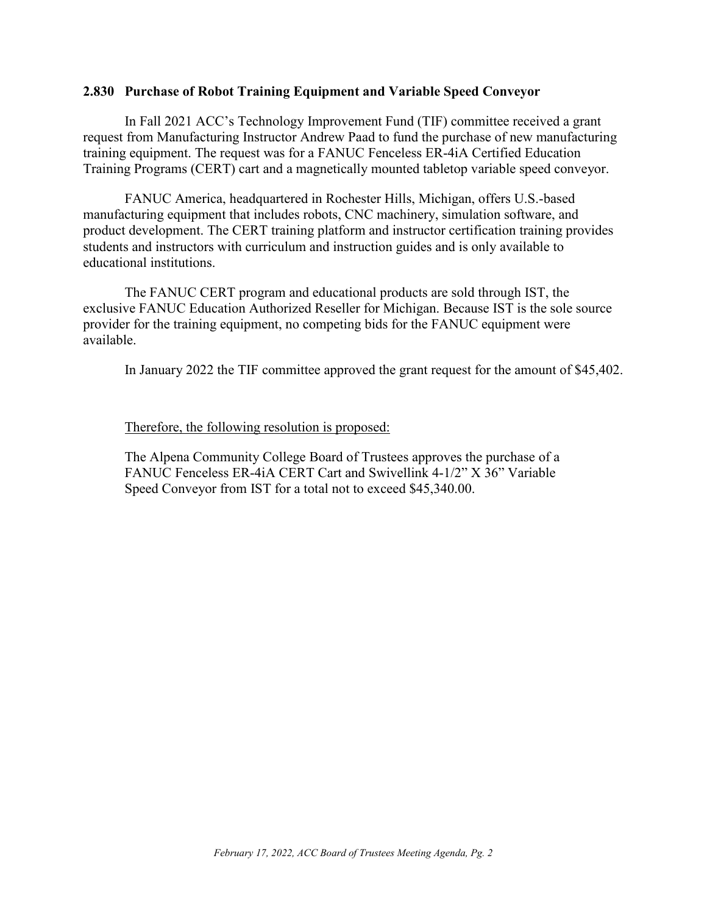### <span id="page-2-0"></span>**2.830 Purchase of Robot Training Equipment and Variable Speed Conveyor**

In Fall 2021 ACC's Technology Improvement Fund (TIF) committee received a grant request from Manufacturing Instructor Andrew Paad to fund the purchase of new manufacturing training equipment. The request was for a FANUC Fenceless ER-4iA Certified Education Training Programs (CERT) cart and a magnetically mounted tabletop variable speed conveyor.

FANUC America, headquartered in Rochester Hills, Michigan, offers U.S.-based manufacturing equipment that includes robots, CNC machinery, simulation software, and product development. The CERT training platform and instructor certification training provides students and instructors with curriculum and instruction guides and is only available to educational institutions.

The FANUC CERT program and educational products are sold through IST, the exclusive FANUC Education Authorized Reseller for Michigan. Because IST is the sole source provider for the training equipment, no competing bids for the FANUC equipment were available.

In January 2022 the TIF committee approved the grant request for the amount of \$45,402.

### Therefore, the following resolution is proposed:

The Alpena Community College Board of Trustees approves the purchase of a FANUC Fenceless ER-4iA CERT Cart and Swivellink 4-1/2" X 36" Variable Speed Conveyor from IST for a total not to exceed \$45,340.00.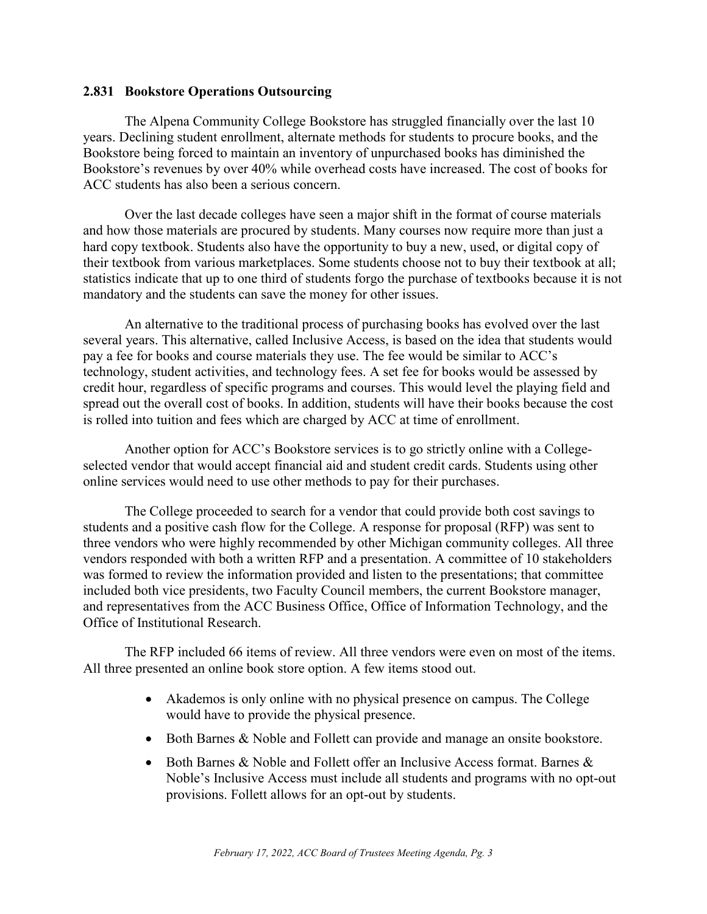### <span id="page-3-0"></span>**2.831 Bookstore Operations Outsourcing**

The Alpena Community College Bookstore has struggled financially over the last 10 years. Declining student enrollment, alternate methods for students to procure books, and the Bookstore being forced to maintain an inventory of unpurchased books has diminished the Bookstore's revenues by over 40% while overhead costs have increased. The cost of books for ACC students has also been a serious concern.

Over the last decade colleges have seen a major shift in the format of course materials and how those materials are procured by students. Many courses now require more than just a hard copy textbook. Students also have the opportunity to buy a new, used, or digital copy of their textbook from various marketplaces. Some students choose not to buy their textbook at all; statistics indicate that up to one third of students forgo the purchase of textbooks because it is not mandatory and the students can save the money for other issues.

An alternative to the traditional process of purchasing books has evolved over the last several years. This alternative, called Inclusive Access, is based on the idea that students would pay a fee for books and course materials they use. The fee would be similar to ACC's technology, student activities, and technology fees. A set fee for books would be assessed by credit hour, regardless of specific programs and courses. This would level the playing field and spread out the overall cost of books. In addition, students will have their books because the cost is rolled into tuition and fees which are charged by ACC at time of enrollment.

Another option for ACC's Bookstore services is to go strictly online with a Collegeselected vendor that would accept financial aid and student credit cards. Students using other online services would need to use other methods to pay for their purchases.

The College proceeded to search for a vendor that could provide both cost savings to students and a positive cash flow for the College. A response for proposal (RFP) was sent to three vendors who were highly recommended by other Michigan community colleges. All three vendors responded with both a written RFP and a presentation. A committee of 10 stakeholders was formed to review the information provided and listen to the presentations; that committee included both vice presidents, two Faculty Council members, the current Bookstore manager, and representatives from the ACC Business Office, Office of Information Technology, and the Office of Institutional Research.

The RFP included 66 items of review. All three vendors were even on most of the items. All three presented an online book store option. A few items stood out.

- Akademos is only online with no physical presence on campus. The College would have to provide the physical presence.
- Both Barnes & Noble and Follett can provide and manage an onsite bookstore.
- Both Barnes & Noble and Follett offer an Inclusive Access format. Barnes & Noble's Inclusive Access must include all students and programs with no opt-out provisions. Follett allows for an opt-out by students.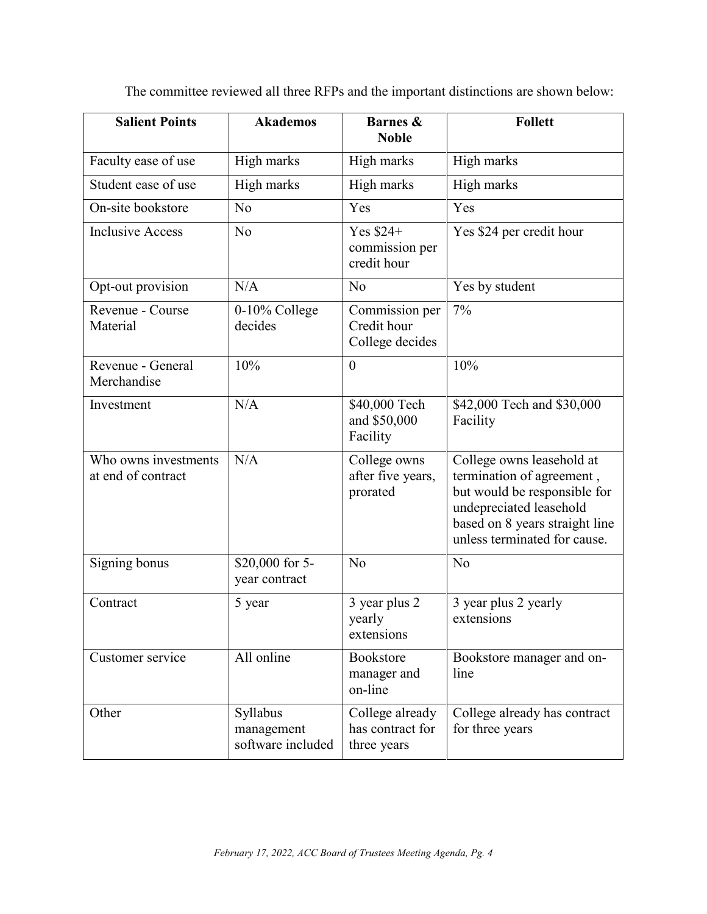| The committee reviewed all three RFPs and the important distinctions are shown below: |  |  |  |  |  |  |  |
|---------------------------------------------------------------------------------------|--|--|--|--|--|--|--|
|---------------------------------------------------------------------------------------|--|--|--|--|--|--|--|

| <b>Salient Points</b>                      | <b>Akademos</b>                             | <b>Barnes &amp;</b><br><b>Noble</b>                | <b>Follett</b>                                                                                                                                                                      |
|--------------------------------------------|---------------------------------------------|----------------------------------------------------|-------------------------------------------------------------------------------------------------------------------------------------------------------------------------------------|
| Faculty ease of use                        | High marks                                  | High marks                                         | High marks                                                                                                                                                                          |
| Student ease of use                        | High marks                                  | High marks                                         | High marks                                                                                                                                                                          |
| On-site bookstore                          | N <sub>o</sub>                              | Yes                                                | Yes                                                                                                                                                                                 |
| <b>Inclusive Access</b>                    | N <sub>o</sub>                              | Yes \$24+<br>commission per<br>credit hour         | Yes \$24 per credit hour                                                                                                                                                            |
| Opt-out provision                          | N/A                                         | N <sub>o</sub>                                     | Yes by student                                                                                                                                                                      |
| Revenue - Course<br>Material               | 0-10% College<br>decides                    | Commission per<br>Credit hour<br>College decides   | 7%                                                                                                                                                                                  |
| Revenue - General<br>Merchandise           | 10%                                         | $\overline{0}$                                     | 10%                                                                                                                                                                                 |
| Investment                                 | N/A                                         | \$40,000 Tech<br>and \$50,000<br>Facility          | \$42,000 Tech and \$30,000<br>Facility                                                                                                                                              |
| Who owns investments<br>at end of contract | N/A                                         | College owns<br>after five years,<br>prorated      | College owns leasehold at<br>termination of agreement,<br>but would be responsible for<br>undepreciated leasehold<br>based on 8 years straight line<br>unless terminated for cause. |
| Signing bonus                              | \$20,000 for 5-<br>year contract            | N <sub>o</sub>                                     | No                                                                                                                                                                                  |
| Contract                                   | 5 year                                      | 3 year plus 2<br>yearly<br>extensions              | 3 year plus 2 yearly<br>extensions                                                                                                                                                  |
| Customer service                           | All online                                  | Bookstore<br>manager and<br>on-line                | Bookstore manager and on-<br>line                                                                                                                                                   |
| Other                                      | Syllabus<br>management<br>software included | College already<br>has contract for<br>three years | College already has contract<br>for three years                                                                                                                                     |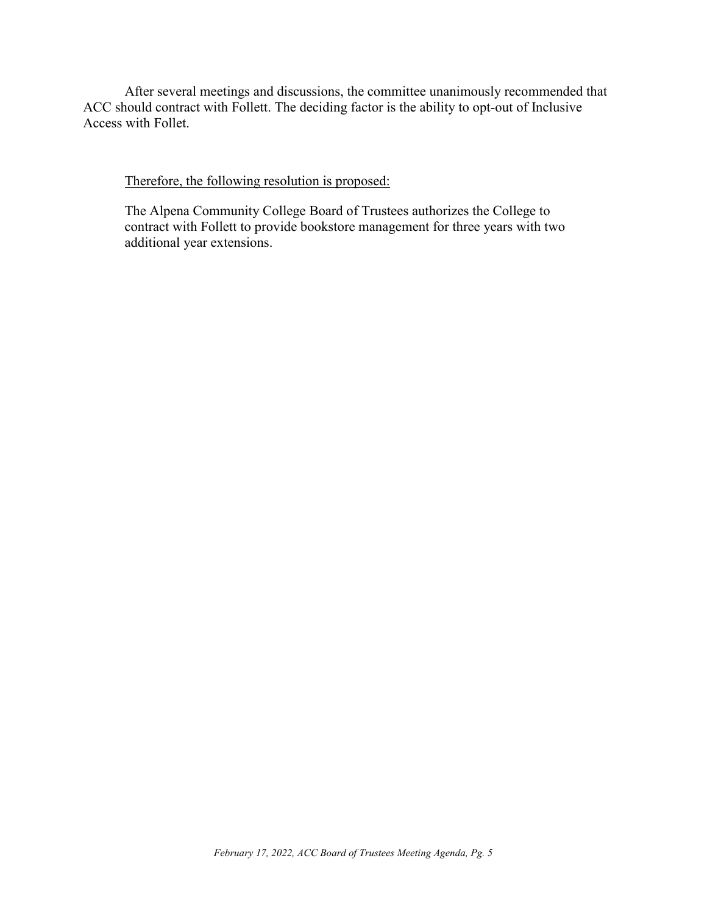After several meetings and discussions, the committee unanimously recommended that ACC should contract with Follett. The deciding factor is the ability to opt-out of Inclusive Access with Follet.

Therefore, the following resolution is proposed:

The Alpena Community College Board of Trustees authorizes the College to contract with Follett to provide bookstore management for three years with two additional year extensions.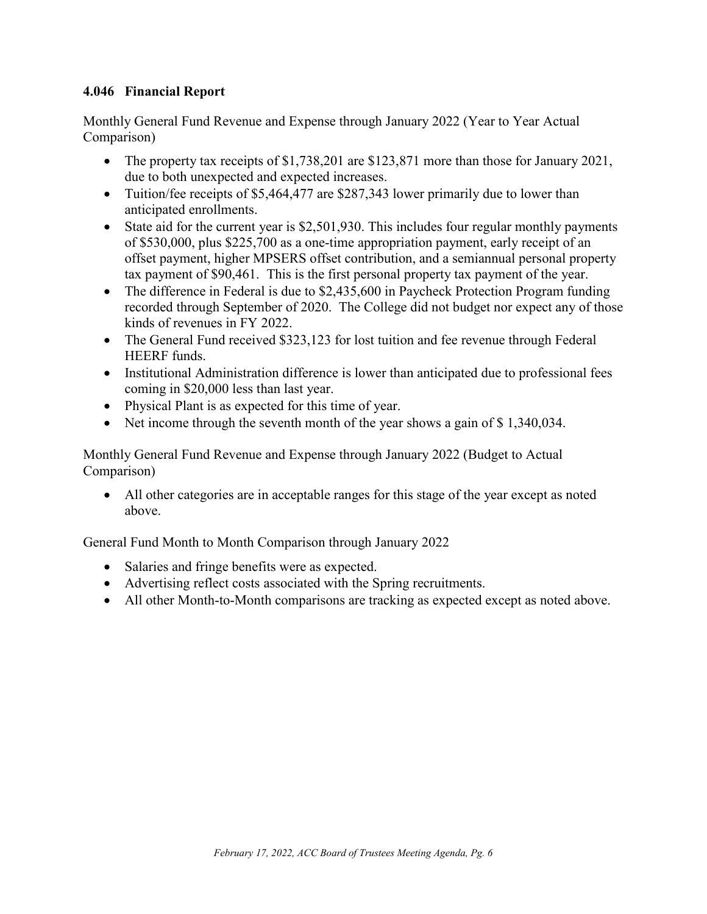# <span id="page-6-0"></span>**4.046 Financial Report**

Monthly General Fund Revenue and Expense through January 2022 (Year to Year Actual Comparison)

- The property tax receipts of \$1,738,201 are \$123,871 more than those for January 2021, due to both unexpected and expected increases.
- Tuition/fee receipts of \$5,464,477 are \$287,343 lower primarily due to lower than anticipated enrollments.
- State aid for the current year is \$2,501,930. This includes four regular monthly payments of \$530,000, plus \$225,700 as a one-time appropriation payment, early receipt of an offset payment, higher MPSERS offset contribution, and a semiannual personal property tax payment of \$90,461. This is the first personal property tax payment of the year.
- The difference in Federal is due to \$2,435,600 in Paycheck Protection Program funding recorded through September of 2020. The College did not budget nor expect any of those kinds of revenues in FY 2022.
- The General Fund received \$323,123 for lost tuition and fee revenue through Federal HEERF funds.
- Institutional Administration difference is lower than anticipated due to professional fees coming in \$20,000 less than last year.
- Physical Plant is as expected for this time of year.
- Net income through the seventh month of the year shows a gain of \$1,340,034.

Monthly General Fund Revenue and Expense through January 2022 (Budget to Actual Comparison)

• All other categories are in acceptable ranges for this stage of the year except as noted above.

General Fund Month to Month Comparison through January 2022

- Salaries and fringe benefits were as expected.
- Advertising reflect costs associated with the Spring recruitments.
- All other Month-to-Month comparisons are tracking as expected except as noted above.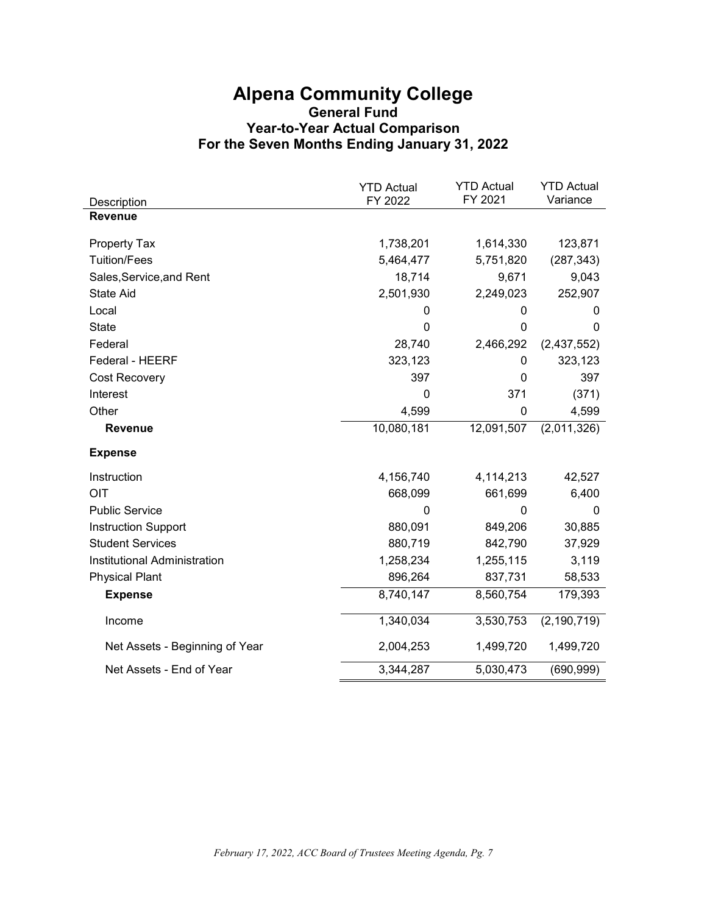# **Alpena Community College General Fund Year-to-Year Actual Comparison For the Seven Months Ending January 31, 2022**

|                                | <b>YTD Actual</b><br>FY 2022 | <b>YTD Actual</b><br>FY 2021 | <b>YTD Actual</b><br>Variance |
|--------------------------------|------------------------------|------------------------------|-------------------------------|
| Description<br><b>Revenue</b>  |                              |                              |                               |
|                                |                              |                              |                               |
| <b>Property Tax</b>            | 1,738,201                    | 1,614,330                    | 123,871                       |
| <b>Tuition/Fees</b>            | 5,464,477                    | 5,751,820                    | (287, 343)                    |
| Sales, Service, and Rent       | 18,714                       | 9,671                        | 9,043                         |
| <b>State Aid</b>               | 2,501,930                    | 2,249,023                    | 252,907                       |
| Local                          | 0                            | 0                            | 0                             |
| <b>State</b>                   | 0                            | 0                            | $\mathbf{0}$                  |
| Federal                        | 28,740                       | 2,466,292                    | (2,437,552)                   |
| Federal - HEERF                | 323,123                      | 0                            | 323,123                       |
| <b>Cost Recovery</b>           | 397                          | 0                            | 397                           |
| Interest                       | 0                            | 371                          | (371)                         |
| Other                          | 4,599                        | 0                            | 4,599                         |
| Revenue                        | 10,080,181                   | 12,091,507                   | (2,011,326)                   |
| <b>Expense</b>                 |                              |                              |                               |
| Instruction                    | 4,156,740                    | 4,114,213                    | 42,527                        |
| OIT                            | 668,099                      | 661,699                      | 6,400                         |
| <b>Public Service</b>          | 0                            | 0                            | $\mathbf{0}$                  |
| <b>Instruction Support</b>     | 880,091                      | 849,206                      | 30,885                        |
| <b>Student Services</b>        | 880,719                      | 842,790                      | 37,929                        |
| Institutional Administration   | 1,258,234                    | 1,255,115                    | 3,119                         |
| <b>Physical Plant</b>          | 896,264                      | 837,731                      | 58,533                        |
| <b>Expense</b>                 | 8,740,147                    | 8,560,754                    | 179,393                       |
| Income                         | 1,340,034                    | 3,530,753                    | (2, 190, 719)                 |
| Net Assets - Beginning of Year | 2,004,253                    | 1,499,720                    | 1,499,720                     |
| Net Assets - End of Year       | 3,344,287                    | 5,030,473                    | (690, 999)                    |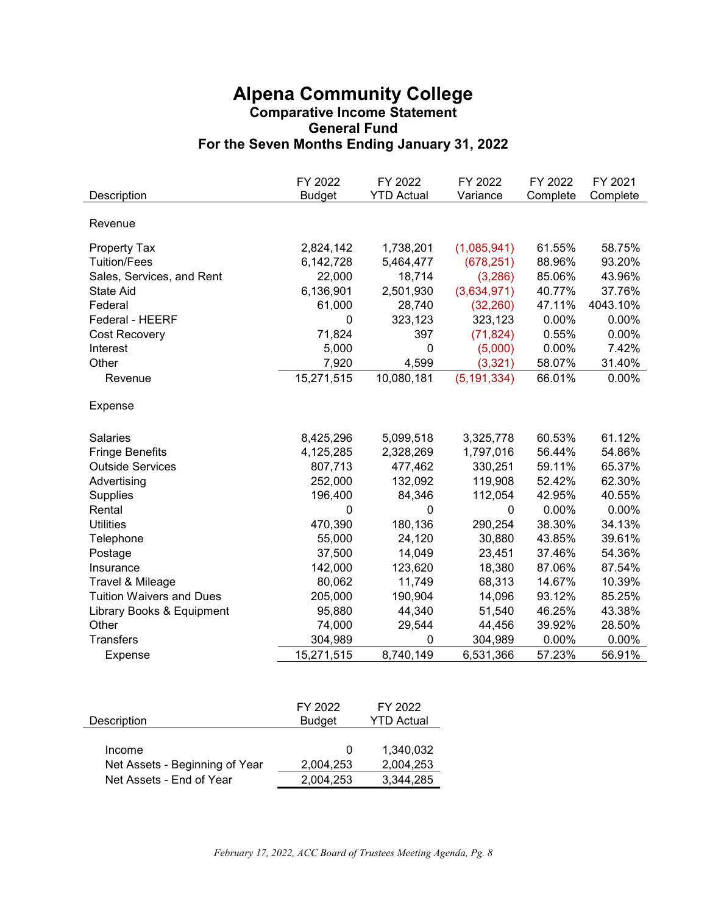# **Alpena Community College Comparative Income Statement General Fund For the Seven Months Ending January 31, 2022**

| Description                     | FY 2022<br><b>Budget</b> | FY 2022<br><b>YTD Actual</b> | FY 2022<br>Variance | FY 2022<br>Complete | FY 2021<br>Complete |
|---------------------------------|--------------------------|------------------------------|---------------------|---------------------|---------------------|
|                                 |                          |                              |                     |                     |                     |
| Revenue                         |                          |                              |                     |                     |                     |
| <b>Property Tax</b>             | 2,824,142                | 1,738,201                    | (1,085,941)         | 61.55%              | 58.75%              |
| <b>Tuition/Fees</b>             | 6,142,728                | 5,464,477                    | (678, 251)          | 88.96%              | 93.20%              |
| Sales, Services, and Rent       | 22,000                   | 18,714                       | (3,286)             | 85.06%              | 43.96%              |
| State Aid                       | 6,136,901                | 2,501,930                    | (3,634,971)         | 40.77%              | 37.76%              |
| Federal                         | 61,000                   | 28,740                       | (32, 260)           | 47.11%              | 4043.10%            |
| Federal - HEERF                 | 0                        | 323,123                      | 323,123             | 0.00%               | 0.00%               |
| Cost Recovery                   | 71,824                   | 397                          | (71, 824)           | 0.55%               | 0.00%               |
| Interest                        | 5,000                    | 0                            | (5,000)             | 0.00%               | 7.42%               |
| Other                           | 7,920                    | 4,599                        | (3,321)             | 58.07%              | 31.40%              |
| Revenue                         | 15,271,515               | 10,080,181                   | (5, 191, 334)       | 66.01%              | 0.00%               |
| Expense                         |                          |                              |                     |                     |                     |
| <b>Salaries</b>                 | 8,425,296                | 5,099,518                    | 3,325,778           | 60.53%              | 61.12%              |
| <b>Fringe Benefits</b>          | 4,125,285                | 2,328,269                    | 1,797,016           | 56.44%              | 54.86%              |
| <b>Outside Services</b>         | 807,713                  | 477,462                      | 330,251             | 59.11%              | 65.37%              |
| Advertising                     | 252,000                  | 132,092                      | 119,908             | 52.42%              | 62.30%              |
| <b>Supplies</b>                 | 196,400                  | 84,346                       | 112,054             | 42.95%              | 40.55%              |
| Rental                          | 0                        | 0                            | 0                   | 0.00%               | 0.00%               |
| <b>Utilities</b>                | 470,390                  | 180,136                      | 290,254             | 38.30%              | 34.13%              |
| Telephone                       | 55,000                   | 24,120                       | 30,880              | 43.85%              | 39.61%              |
| Postage                         | 37,500                   | 14,049                       | 23,451              | 37.46%              | 54.36%              |
| Insurance                       | 142,000                  | 123,620                      | 18,380              | 87.06%              | 87.54%              |
| Travel & Mileage                | 80,062                   | 11,749                       | 68,313              | 14.67%              | 10.39%              |
| <b>Tuition Waivers and Dues</b> | 205,000                  | 190,904                      | 14,096              | 93.12%              | 85.25%              |
| Library Books & Equipment       | 95,880                   | 44,340                       | 51,540              | 46.25%              | 43.38%              |
| Other                           | 74,000                   | 29,544                       | 44,456              | 39.92%              | 28.50%              |
| <b>Transfers</b>                | 304,989                  | 0                            | 304,989             | 0.00%               | 0.00%               |
| Expense                         | 15,271,515               | 8,740,149                    | 6,531,366           | 57.23%              | 56.91%              |
|                                 |                          |                              |                     |                     |                     |

| Description                    | FY 2022<br><b>Budget</b> | FY 2022<br>YTD Actual |
|--------------------------------|--------------------------|-----------------------|
|                                |                          |                       |
| Income                         | $\Omega$                 | 1,340,032             |
| Net Assets - Beginning of Year | 2,004,253                | 2,004,253             |
| Net Assets - End of Year       | 2.004.253                | 3.344.285             |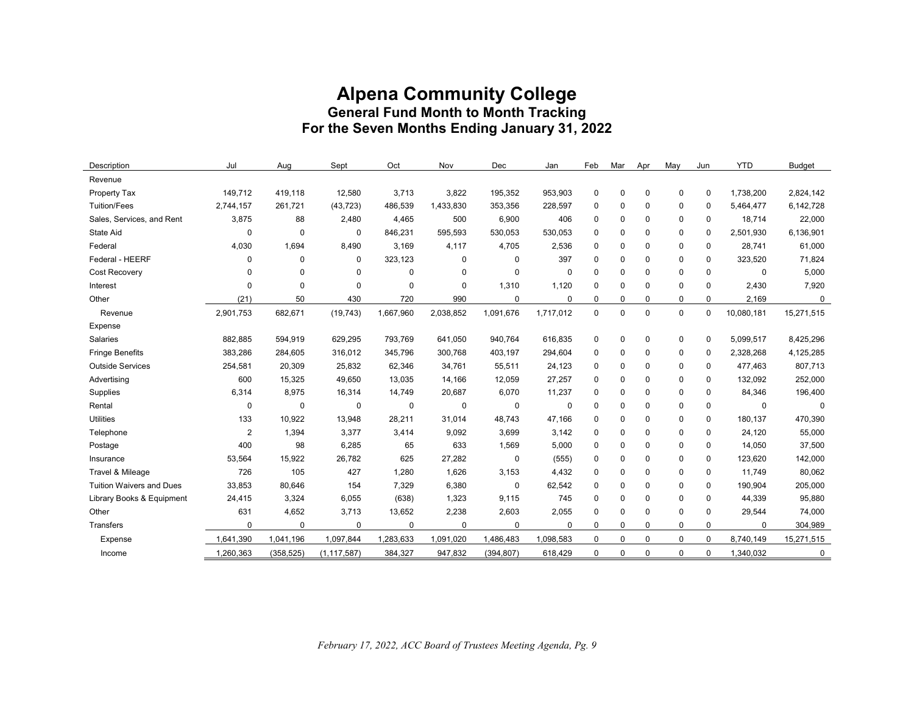# **Alpena Community College General Fund Month to Month Tracking For the Seven Months Ending January 31, 2022**

| Description                     | Jul            | Aug         | Sept          | Oct       | Nov         | Dec         | Jan       | Feb         | Mar         | Apr         | May          | Jun         | <b>YTD</b> | <b>Budget</b> |
|---------------------------------|----------------|-------------|---------------|-----------|-------------|-------------|-----------|-------------|-------------|-------------|--------------|-------------|------------|---------------|
| Revenue                         |                |             |               |           |             |             |           |             |             |             |              |             |            |               |
| Property Tax                    | 149,712        | 419,118     | 12,580        | 3,713     | 3,822       | 195,352     | 953,903   | $\mathbf 0$ | 0           | $\mathbf 0$ | $\mathbf 0$  | 0           | 1,738,200  | 2,824,142     |
| <b>Tuition/Fees</b>             | 2,744,157      | 261,721     | (43, 723)     | 486,539   | 1,433,830   | 353,356     | 228,597   | $\mathbf 0$ | 0           | 0           | $\mathbf 0$  | $\mathbf 0$ | 5,464,477  | 6,142,728     |
| Sales, Services, and Rent       | 3,875          | 88          | 2,480         | 4,465     | 500         | 6,900       | 406       | $\mathbf 0$ | $\Omega$    | $\mathbf 0$ | $\mathbf 0$  | 0           | 18,714     | 22,000        |
| <b>State Aid</b>                | $\mathbf 0$    | $\mathbf 0$ | $\mathbf{0}$  | 846,231   | 595,593     | 530,053     | 530,053   | $\mathbf 0$ | $\Omega$    | $\mathbf 0$ | $\mathbf{0}$ | $\mathbf 0$ | 2,501,930  | 6,136,901     |
| Federal                         | 4,030          | 1,694       | 8,490         | 3,169     | 4,117       | 4,705       | 2,536     | $\mathbf 0$ | $\Omega$    | $\mathbf 0$ | $\mathbf 0$  | 0           | 28,741     | 61,000        |
| Federal - HEERF                 | $\mathbf 0$    | $\Omega$    | $\mathbf{0}$  | 323,123   | $\mathbf 0$ | $\mathbf 0$ | 397       | $\mathbf 0$ | $\Omega$    | $\mathbf 0$ | $\mathbf{0}$ | $\mathbf 0$ | 323,520    | 71,824        |
| Cost Recovery                   | 0              | $\Omega$    | $\mathbf 0$   | 0         | 0           | $\mathbf 0$ | 0         | $\Omega$    | 0           | $\Omega$    | $\mathbf 0$  | $\mathbf 0$ | 0          | 5,000         |
| Interest                        | 0              | $\mathbf 0$ | $\mathbf 0$   | 0         | 0           | 1,310       | 1,120     | $\mathbf 0$ | 0           | 0           | $\mathbf 0$  | $\mathbf 0$ | 2,430      | 7,920         |
| Other                           | (21)           | 50          | 430           | 720       | 990         | 0           | 0         | $\mathbf 0$ | 0           | 0           | $\mathbf 0$  | $\mathbf 0$ | 2,169      | 0             |
| Revenue                         | 2,901,753      | 682,671     | (19, 743)     | 1,667,960 | 2,038,852   | 1,091,676   | 1,717,012 | $\Omega$    | $\Omega$    | $\Omega$    | $\mathbf 0$  | $\mathbf 0$ | 10,080,181 | 15,271,515    |
| Expense                         |                |             |               |           |             |             |           |             |             |             |              |             |            |               |
| Salaries                        | 882,885        | 594,919     | 629,295       | 793,769   | 641,050     | 940,764     | 616,835   | $\mathbf 0$ | 0           | $\mathbf 0$ | $\mathbf 0$  | $\mathbf 0$ | 5,099,517  | 8,425,296     |
| <b>Fringe Benefits</b>          | 383,286        | 284,605     | 316,012       | 345,796   | 300,768     | 403,197     | 294,604   | 0           | 0           | 0           | $\mathbf 0$  | $\mathbf 0$ | 2,328,268  | 4,125,285     |
| <b>Outside Services</b>         | 254,581        | 20,309      | 25,832        | 62,346    | 34,761      | 55,511      | 24,123    | $\mathbf 0$ | 0           | $\mathbf 0$ | $\mathbf 0$  | 0           | 477,463    | 807,713       |
| Advertising                     | 600            | 15,325      | 49,650        | 13,035    | 14,166      | 12,059      | 27,257    | $\mathbf 0$ | $\Omega$    | $\mathbf 0$ | $\mathbf{0}$ | $\mathbf 0$ | 132,092    | 252,000       |
| Supplies                        | 6,314          | 8,975       | 16,314        | 14,749    | 20,687      | 6,070       | 11,237    | $\mathbf 0$ | 0           | $\mathbf 0$ | $\mathbf{0}$ | $\mathbf 0$ | 84,346     | 196,400       |
| Rental                          | 0              | 0           | 0             | 0         | 0           | 0           | 0         | $\mathbf 0$ | 0           | 0           | $\mathbf 0$  | $\mathbf 0$ | 0          | 0             |
| <b>Utilities</b>                | 133            | 10,922      | 13,948        | 28,211    | 31,014      | 48,743      | 47,166    | $\mathbf 0$ | 0           | 0           | $\mathbf 0$  | 0           | 180,137    | 470,390       |
| Telephone                       | $\overline{2}$ | 1,394       | 3,377         | 3,414     | 9,092       | 3,699       | 3,142     | $\mathbf 0$ | $\Omega$    | 0           | $\mathbf 0$  | 0           | 24,120     | 55,000        |
| Postage                         | 400            | 98          | 6,285         | 65        | 633         | 1,569       | 5,000     | $\mathbf 0$ | $\Omega$    | 0           | $\mathbf 0$  | 0           | 14,050     | 37,500        |
| Insurance                       | 53,564         | 15,922      | 26,782        | 625       | 27,282      | $\mathbf 0$ | (555)     | $\mathbf 0$ | $\Omega$    | $\mathbf 0$ | $\mathbf 0$  | $\mathbf 0$ | 123,620    | 142,000       |
| Travel & Mileage                | 726            | 105         | 427           | 1,280     | 1,626       | 3,153       | 4,432     | $\mathbf 0$ | $\Omega$    | $\mathbf 0$ | $\mathbf 0$  | 0           | 11,749     | 80,062        |
| <b>Tuition Waivers and Dues</b> | 33,853         | 80,646      | 154           | 7,329     | 6,380       | $\mathbf 0$ | 62,542    | $\Omega$    | $\Omega$    | $\mathbf 0$ | $\Omega$     | $\mathbf 0$ | 190,904    | 205,000       |
| Library Books & Equipment       | 24,415         | 3,324       | 6,055         | (638)     | 1,323       | 9,115       | 745       | $\Omega$    | $\Omega$    | $\Omega$    | $\Omega$     | $\mathbf 0$ | 44,339     | 95,880        |
| Other                           | 631            | 4,652       | 3,713         | 13,652    | 2,238       | 2,603       | 2,055     | $\mathbf 0$ | 0           | 0           | $\mathbf 0$  | 0           | 29,544     | 74,000        |
| Transfers                       | $\mathbf 0$    | $\mathbf 0$ | $\mathbf{0}$  | 0         | $\mathbf 0$ | $\mathbf 0$ | 0         | $\mathbf 0$ | 0           | $\mathbf 0$ | $\mathbf{0}$ | $\mathbf 0$ | 0          | 304,989       |
| Expense                         | 1,641,390      | 1,041,196   | 1,097,844     | 1,283,633 | 1,091,020   | 1,486,483   | 1,098,583 | $\mathbf 0$ | $\mathbf 0$ | $\mathbf 0$ | $\mathbf{0}$ | $\mathbf 0$ | 8,740,149  | 15,271,515    |
| Income                          | 1,260,363      | (358, 525)  | (1, 117, 587) | 384,327   | 947,832     | (394, 807)  | 618,429   | $\mathbf 0$ | $\Omega$    | $\mathbf 0$ | $\mathbf 0$  | $\mathbf 0$ | 1,340,032  | 0             |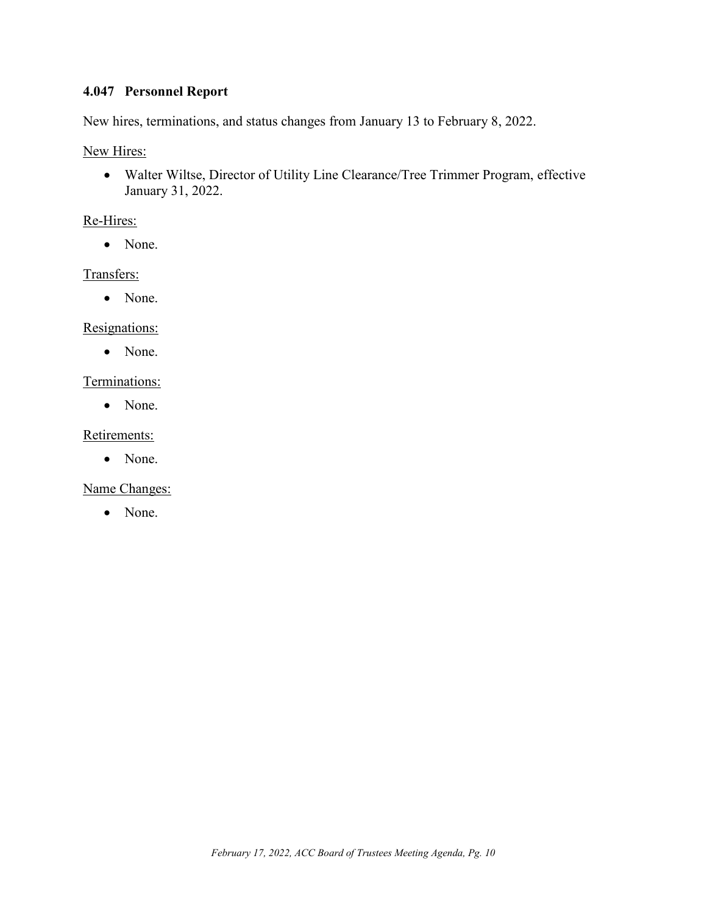# <span id="page-10-0"></span>**4.047 Personnel Report**

New hires, terminations, and status changes from January 13 to February 8, 2022.

New Hires:

• Walter Wiltse, Director of Utility Line Clearance/Tree Trimmer Program, effective January 31, 2022.

### Re-Hires:

• None.

### Transfers:

• None.

#### Resignations:

• None.

### Terminations:

• None.

### Retirements:

• None.

Name Changes:

• None.